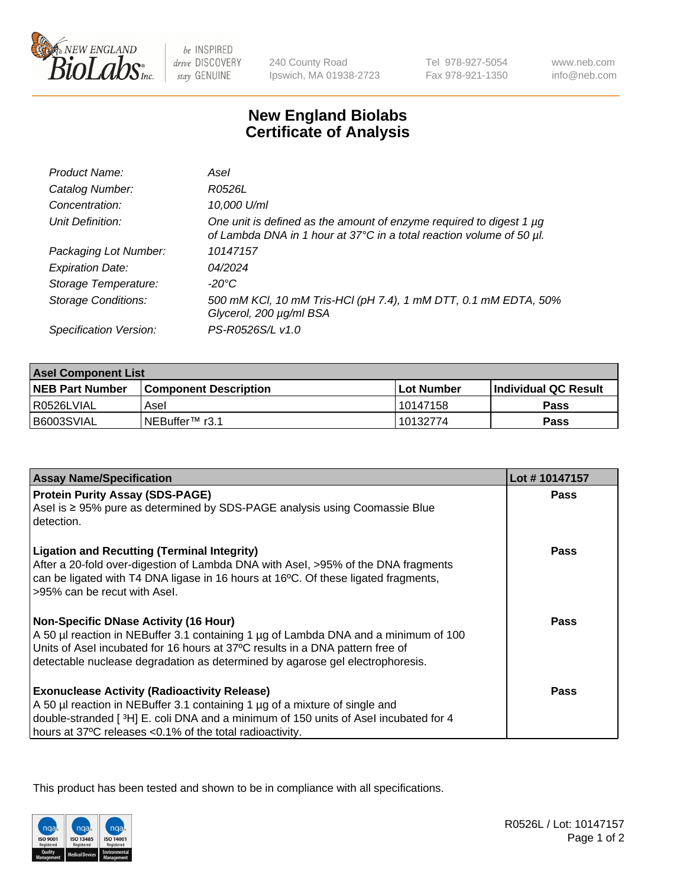

 $be$  INSPIRED drive DISCOVERY stay GENUINE

240 County Road Ipswich, MA 01938-2723 Tel 978-927-5054 Fax 978-921-1350

www.neb.com info@neb.com

## **New England Biolabs Certificate of Analysis**

| Product Name:              | Asel                                                                                                                                        |
|----------------------------|---------------------------------------------------------------------------------------------------------------------------------------------|
| Catalog Number:            | R0526L                                                                                                                                      |
| Concentration:             | 10,000 U/ml                                                                                                                                 |
| Unit Definition:           | One unit is defined as the amount of enzyme required to digest 1 µg<br>of Lambda DNA in 1 hour at 37°C in a total reaction volume of 50 µl. |
| Packaging Lot Number:      | 10147157                                                                                                                                    |
| <b>Expiration Date:</b>    | 04/2024                                                                                                                                     |
| Storage Temperature:       | $-20^{\circ}$ C                                                                                                                             |
| <b>Storage Conditions:</b> | 500 mM KCI, 10 mM Tris-HCI (pH 7.4), 1 mM DTT, 0.1 mM EDTA, 50%<br>Glycerol, 200 µg/ml BSA                                                  |
| Specification Version:     | PS-R0526S/L v1.0                                                                                                                            |

| <b>Asel Component List</b> |                         |              |                             |  |
|----------------------------|-------------------------|--------------|-----------------------------|--|
| <b>NEB Part Number</b>     | l Component Description | l Lot Number | <b>Individual QC Result</b> |  |
| I R0526LVIAL               | Asel                    | 10147158     | Pass                        |  |
| B6003SVIAL                 | INEBuffer™ r3.1         | 10132774     | Pass                        |  |

| <b>Assay Name/Specification</b>                                                                                                                                         | Lot #10147157 |
|-------------------------------------------------------------------------------------------------------------------------------------------------------------------------|---------------|
| <b>Protein Purity Assay (SDS-PAGE)</b>                                                                                                                                  | <b>Pass</b>   |
| Asel is ≥ 95% pure as determined by SDS-PAGE analysis using Coomassie Blue<br>detection.                                                                                |               |
| <b>Ligation and Recutting (Terminal Integrity)</b>                                                                                                                      | Pass          |
| After a 20-fold over-digestion of Lambda DNA with Asel, >95% of the DNA fragments<br>can be ligated with T4 DNA ligase in 16 hours at 16°C. Of these ligated fragments, |               |
| >95% can be recut with Asel.                                                                                                                                            |               |
| <b>Non-Specific DNase Activity (16 Hour)</b>                                                                                                                            | Pass          |
| A 50 µl reaction in NEBuffer 3.1 containing 1 µg of Lambda DNA and a minimum of 100                                                                                     |               |
| Units of Asel incubated for 16 hours at 37°C results in a DNA pattern free of                                                                                           |               |
| detectable nuclease degradation as determined by agarose gel electrophoresis.                                                                                           |               |
| <b>Exonuclease Activity (Radioactivity Release)</b>                                                                                                                     | Pass          |
| A 50 µl reaction in NEBuffer 3.1 containing 1 µg of a mixture of single and                                                                                             |               |
| double-stranded [ $3H$ ] E. coli DNA and a minimum of 150 units of Asel incubated for 4                                                                                 |               |
| hours at 37°C releases <0.1% of the total radioactivity.                                                                                                                |               |

This product has been tested and shown to be in compliance with all specifications.